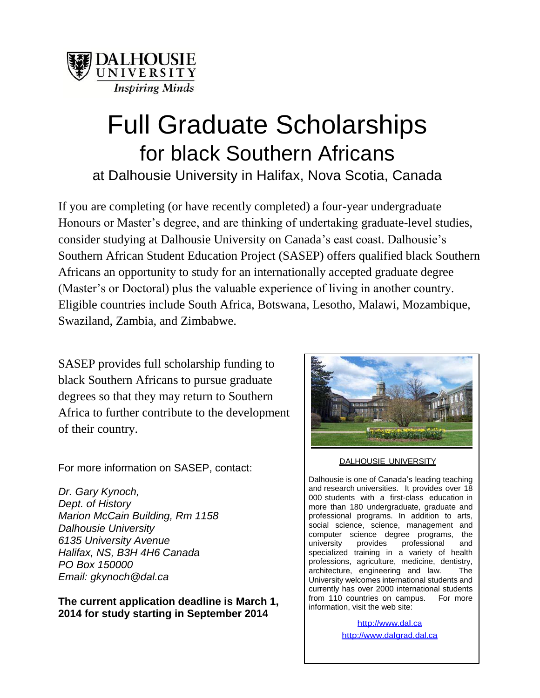

## Full Graduate Scholarships for black Southern Africans at Dalhousie University in Halifax, Nova Scotia, Canada

If you are completing (or have recently completed) a four-year undergraduate Honours or Master's degree, and are thinking of undertaking graduate-level studies, consider studying at Dalhousie University on Canada's east coast. Dalhousie's Southern African Student Education Project (SASEP) offers qualified black Southern Africans an opportunity to study for an internationally accepted graduate degree (Master's or Doctoral) plus the valuable experience of living in another country. Eligible countries include South Africa, Botswana, Lesotho, Malawi, Mozambique, Swaziland, Zambia, and Zimbabwe.

SASEP provides full scholarship funding to black Southern Africans to pursue graduate degrees so that they may return to Southern Africa to further contribute to the development of their country.

For more information on SASEP, contact:

*Dr. Gary Kynoch, Dept. of History Marion McCain Building, Rm 1158 Dalhousie University 6135 University Avenue Halifax, NS, B3H 4H6 Canada PO Box 150000 Email: gkynoch@dal.ca*

**The current application deadline is March 1, 2014 for study starting in September 2014**



DALHOUSIE UNIVERSITY

Dalhousie is one of Canada's leading teaching and research universities. It provides over 18 000 students with a first-class education in more than 180 undergraduate, graduate and professional programs. In addition to arts, social science, science, management and computer science degree programs, the university provides professional and specialized training in a variety of health professions, agriculture, medicine, dentistry, architecture, engineering and law. The University welcomes international students and currently has over 2000 international students from 110 countries on campus. For more information, visit the web site:

> [http://www.dal.ca](http://www.dal.ca/) http://www.dalgrad.dal.ca